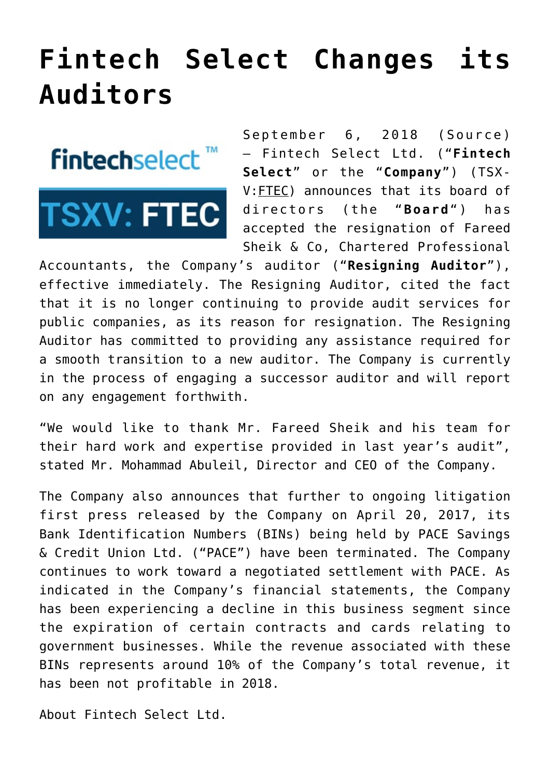## **[Fintech Select Changes its](https://investorintel.com/markets/technology/technology-news/fintech-select-changes-auditors/) [Auditors](https://investorintel.com/markets/technology/technology-news/fintech-select-changes-auditors/)**

**fintechselect™** 

**TSXV: FTEC** 

September 6, 2018 ([Source\)](https://investorintel.com/iintel-members/fintech-select-ltd/) — Fintech Select Ltd. ("**Fintech Select**" or the "**Company**") (TSX-V[:FTEC](https://www.globenewswire.com/Tracker?data=Wf-XFGJaHGZcAffLzzG6DsG6l3Mt546quTM7iIX51dd_eIFLDpnCXYFG9QQF8MO1_mJYGey7JbMG1w5hA0WVNP9cGnJWzAtYQYIqTxOR2rGq-t2mgaOGw_7tC-85ZnP2)) announces that its board of directors (the "**Board**") has accepted the resignation of Fareed Sheik & Co, Chartered Professional

Accountants, the Company's auditor ("**Resigning Auditor**"), effective immediately. The Resigning Auditor, cited the fact that it is no longer continuing to provide audit services for public companies, as its reason for resignation. The Resigning Auditor has committed to providing any assistance required for a smooth transition to a new auditor. The Company is currently in the process of engaging a successor auditor and will report on any engagement forthwith.

"We would like to thank Mr. Fareed Sheik and his team for their hard work and expertise provided in last year's audit", stated Mr. Mohammad Abuleil, Director and CEO of the Company.

The Company also announces that further to ongoing litigation first press released by the Company on April 20, 2017, its Bank Identification Numbers (BINs) being held by PACE Savings & Credit Union Ltd. ("PACE") have been terminated. The Company continues to work toward a negotiated settlement with PACE. As indicated in the Company's financial statements, the Company has been experiencing a decline in this business segment since the expiration of certain contracts and cards relating to government businesses. While the revenue associated with these BINs represents around 10% of the Company's total revenue, it has been not profitable in 2018.

About Fintech Select Ltd.